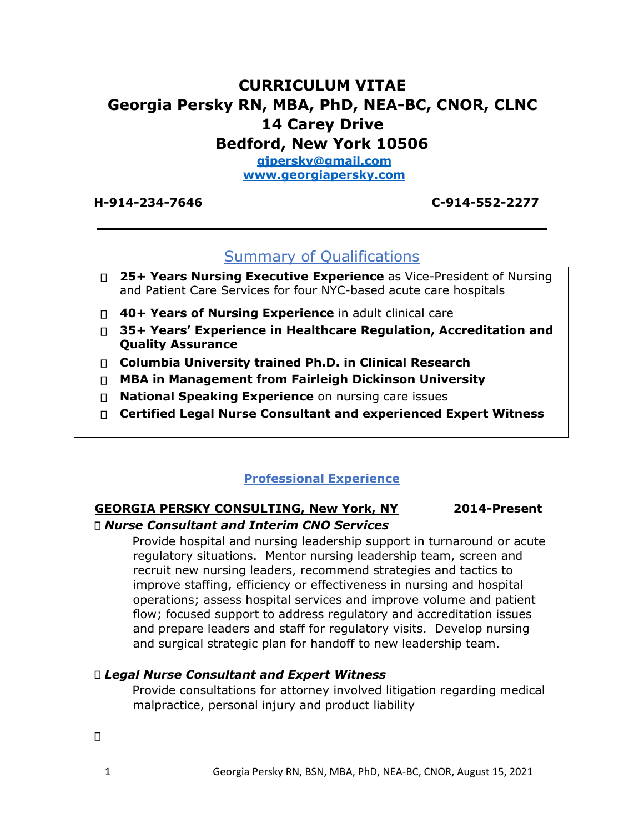# **CURRICULUM VITAE Georgia Persky RN, MBA, PhD, NEA-BC, CNOR, CLNC 14 Carey Drive Bedford, New York 10506 gjpersky@gmail.com**

**[www.georgiapersky.com](http://www.georgiapersky.com/)**

**H-914-234-7646 C-914-552-2277** 

# Summary of Qualifications

**\_\_\_\_\_\_\_\_\_\_\_\_\_\_\_\_\_\_\_\_\_\_\_\_\_\_\_\_\_\_\_\_\_\_\_\_\_\_\_\_\_\_\_**

- **25+ Years Nursing Executive Experience** as Vice-President of Nursing and Patient Care Services for four NYC-based acute care hospitals
- **40+ Years of Nursing Experience** in adult clinical care
- **35+ Years' Experience in Healthcare Regulation, Accreditation and Quality Assurance**
- **Columbia University trained Ph.D. in Clinical Research**
- **MBA in Management from Fairleigh Dickinson University**
- **National Speaking Experience** on nursing care issues
- **Certified Legal Nurse Consultant and experienced Expert Witness**

#### **Professional Experience**

#### **GEORGIA PERSKY CONSULTING, New York, NY 2014-Present** *Nurse Consultant and Interim CNO Services*

Provide hospital and nursing leadership support in turnaround or acute regulatory situations. Mentor nursing leadership team, screen and recruit new nursing leaders, recommend strategies and tactics to improve staffing, efficiency or effectiveness in nursing and hospital operations; assess hospital services and improve volume and patient flow; focused support to address regulatory and accreditation issues and prepare leaders and staff for regulatory visits. Develop nursing and surgical strategic plan for handoff to new leadership team.

#### *Legal Nurse Consultant and Expert Witness*

Provide consultations for attorney involved litigation regarding medical malpractice, personal injury and product liability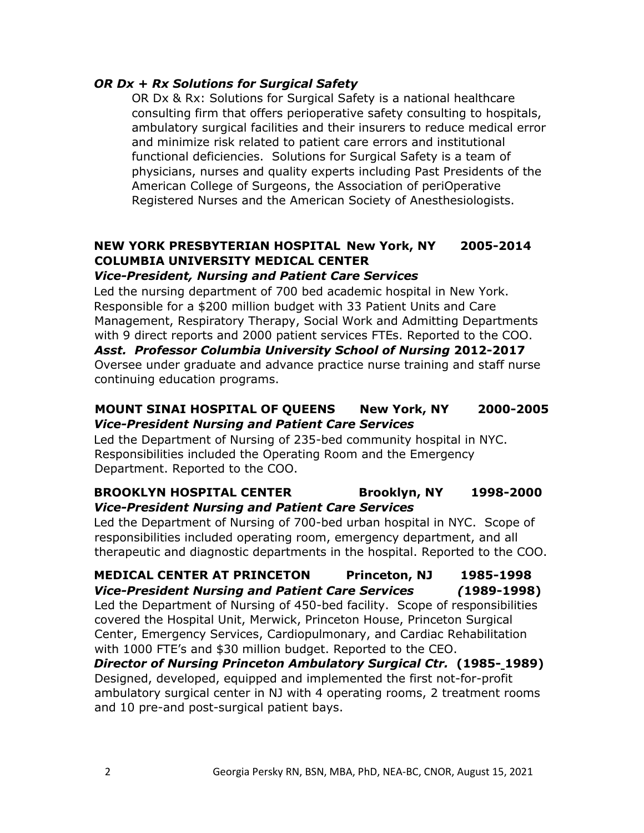#### *OR Dx + Rx Solutions for Surgical Safety*

OR Dx & Rx: Solutions for Surgical Safety is a national healthcare consulting firm that offers perioperative safety consulting to hospitals, ambulatory surgical facilities and their insurers to reduce medical error and minimize risk related to patient care errors and institutional functional deficiencies. Solutions for Surgical Safety is a team of physicians, nurses and quality experts including Past Presidents of the American College of Surgeons, the Association of periOperative Registered Nurses and the American Society of Anesthesiologists.

## **NEW YORK PRESBYTERIAN HOSPITAL New York, NY 2005-2014 COLUMBIA UNIVERSITY MEDICAL CENTER**

#### *Vice-President, Nursing and Patient Care Services*

Led the nursing department of 700 bed academic hospital in New York. Responsible for a \$200 million budget with 33 Patient Units and Care Management, Respiratory Therapy, Social Work and Admitting Departments with 9 direct reports and 2000 patient services FTEs. Reported to the COO. *Asst. Professor Columbia University School of Nursing* **2012-2017** Oversee under graduate and advance practice nurse training and staff nurse continuing education programs.

### **MOUNT SINAI HOSPITAL OF QUEENS New York, NY 2000-2005**  *Vice-President Nursing and Patient Care Services*

Led the Department of Nursing of 235-bed community hospital in NYC. Responsibilities included the Operating Room and the Emergency Department. Reported to the COO.

#### **BROOKLYN HOSPITAL CENTER Brooklyn, NY 1998-2000**  *Vice-President Nursing and Patient Care Services*

Led the Department of Nursing of 700-bed urban hospital in NYC. Scope of responsibilities included operating room, emergency department, and all therapeutic and diagnostic departments in the hospital. Reported to the COO.

**MEDICAL CENTER AT PRINCETON Princeton, NJ 1985-1998**  *Vice-President Nursing and Patient Care Services (***1989-1998)** Led the Department of Nursing of 450-bed facility. Scope of responsibilities covered the Hospital Unit, Merwick, Princeton House, Princeton Surgical Center, Emergency Services, Cardiopulmonary, and Cardiac Rehabilitation with 1000 FTE's and \$30 million budget. Reported to the CEO.

*Director of Nursing Princeton Ambulatory Surgical Ctr.* **(1985- 1989)** Designed, developed, equipped and implemented the first not-for-profit ambulatory surgical center in NJ with 4 operating rooms, 2 treatment rooms and 10 pre-and post-surgical patient bays.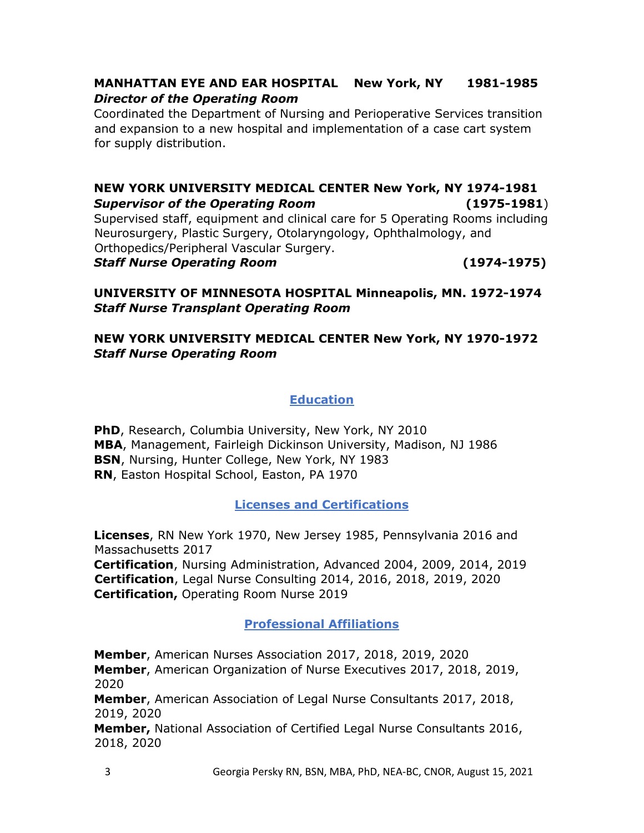## **MANHATTAN EYE AND EAR HOSPITAL New York, NY 1981-1985**  *Director of the Operating Room*

Coordinated the Department of Nursing and Perioperative Services transition and expansion to a new hospital and implementation of a case cart system for supply distribution.

# **NEW YORK UNIVERSITY MEDICAL CENTER New York, NY 1974-1981**  *Supervisor of the Operating Room* **(1975-1981**) Supervised staff, equipment and clinical care for 5 Operating Rooms including Neurosurgery, Plastic Surgery, Otolaryngology, Ophthalmology, and Orthopedics/Peripheral Vascular Surgery. *Staff Nurse Operating Room* **(1974-1975)**

## **UNIVERSITY OF MINNESOTA HOSPITAL Minneapolis, MN. 1972-1974**  *Staff Nurse Transplant Operating Room*

## **NEW YORK UNIVERSITY MEDICAL CENTER New York, NY 1970-1972**  *Staff Nurse Operating Room*

## **Education**

**PhD**, Research, Columbia University, New York, NY 2010 **MBA**, Management, Fairleigh Dickinson University, Madison, NJ 1986 **BSN**, Nursing, Hunter College, New York, NY 1983 **RN**, Easton Hospital School, Easton, PA 1970

## **Licenses and Certifications**

**Licenses**, RN New York 1970, New Jersey 1985, Pennsylvania 2016 and Massachusetts 2017

**Certification**, Nursing Administration, Advanced 2004, 2009, 2014, 2019 **Certification**, Legal Nurse Consulting 2014, 2016, 2018, 2019, 2020 **Certification,** Operating Room Nurse 2019

## **Professional Affiliations**

**Member**, American Nurses Association 2017, 2018, 2019, 2020 **Member**, American Organization of Nurse Executives 2017, 2018, 2019, 2020

**Member**, American Association of Legal Nurse Consultants 2017, 2018, 2019, 2020

**Member,** National Association of Certified Legal Nurse Consultants 2016, 2018, 2020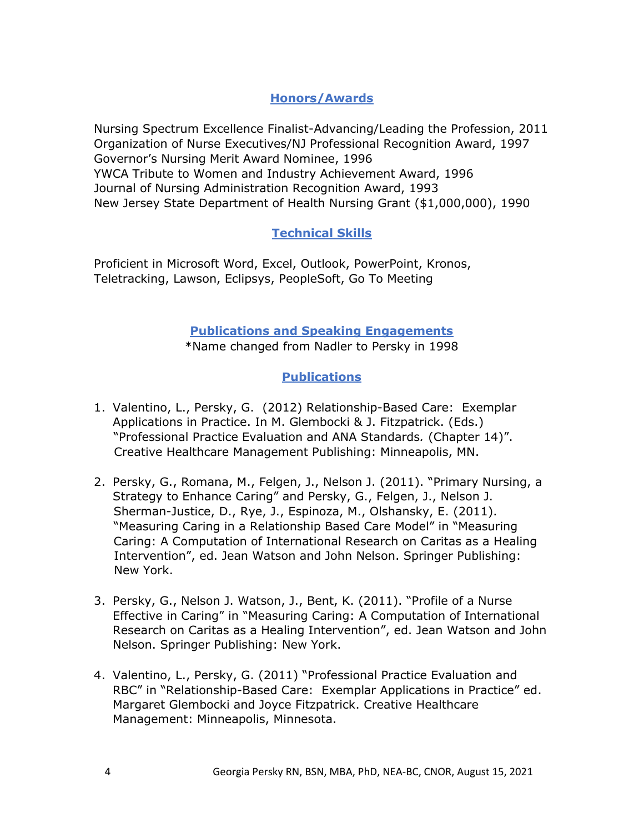## **Honors/Awards**

Nursing Spectrum Excellence Finalist-Advancing/Leading the Profession, 2011 Organization of Nurse Executives/NJ Professional Recognition Award, 1997 Governor's Nursing Merit Award Nominee, 1996 YWCA Tribute to Women and Industry Achievement Award, 1996 Journal of Nursing Administration Recognition Award, 1993 New Jersey State Department of Health Nursing Grant (\$1,000,000), 1990

## **Technical Skills**

Proficient in Microsoft Word, Excel, Outlook, PowerPoint, Kronos, Teletracking, Lawson, Eclipsys, PeopleSoft, Go To Meeting

#### **Publications and Speaking Engagements** \*Name changed from Nadler to Persky in 1998

### **Publications**

- 1. Valentino, L., Persky, G. (2012) Relationship-Based Care: Exemplar Applications in Practice. In M. Glembocki & J. Fitzpatrick. (Eds.) "Professional Practice Evaluation and ANA Standards*.* (Chapter 14)". Creative Healthcare Management Publishing: Minneapolis, MN.
- 2. Persky, G., Romana, M., Felgen, J., Nelson J. (2011). "Primary Nursing, a Strategy to Enhance Caring" and Persky, G., Felgen, J., Nelson J. Sherman-Justice, D., Rye, J., Espinoza, M., Olshansky, E. (2011). "Measuring Caring in a Relationship Based Care Model" in "Measuring Caring: A Computation of International Research on Caritas as a Healing Intervention", ed. Jean Watson and John Nelson. Springer Publishing: New York.
- 3. Persky, G., Nelson J. Watson, J., Bent, K. (2011). "Profile of a Nurse Effective in Caring" in "Measuring Caring: A Computation of International Research on Caritas as a Healing Intervention", ed. Jean Watson and John Nelson. Springer Publishing: New York.
- 4. Valentino, L., Persky, G. (2011) "Professional Practice Evaluation and RBC" in "Relationship-Based Care: Exemplar Applications in Practice" ed. Margaret Glembocki and Joyce Fitzpatrick. Creative Healthcare Management: Minneapolis, Minnesota.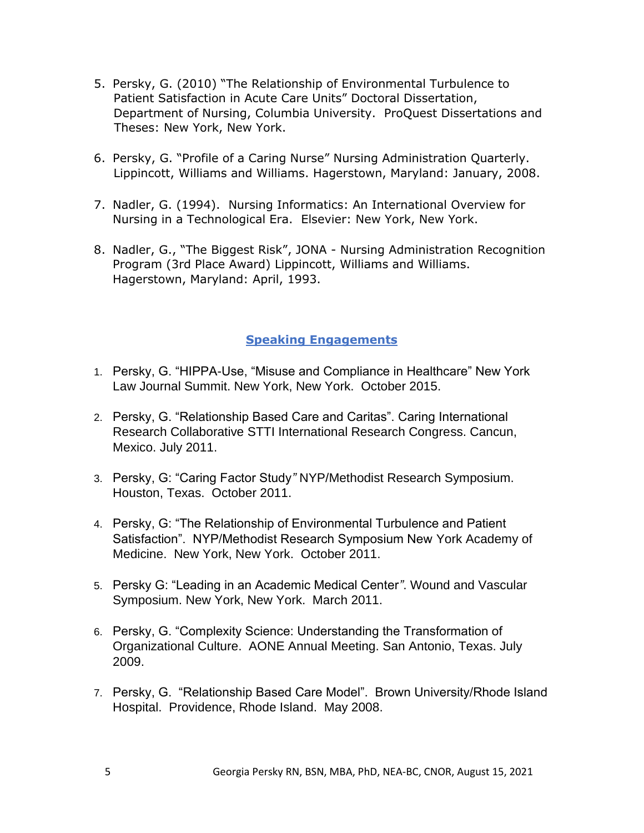- 5. Persky, G. (2010) "The Relationship of Environmental Turbulence to Patient Satisfaction in Acute Care Units" Doctoral Dissertation, Department of Nursing, Columbia University. ProQuest Dissertations and Theses: New York, New York.
- 6. Persky, G. "Profile of a Caring Nurse" Nursing Administration Quarterly. Lippincott, Williams and Williams. Hagerstown, Maryland: January, 2008.
- 7. Nadler, G. (1994). Nursing Informatics: An International Overview for Nursing in a Technological Era. Elsevier: New York, New York.
- 8. Nadler, G., "The Biggest Risk", JONA Nursing Administration Recognition Program (3rd Place Award) Lippincott, Williams and Williams. Hagerstown, Maryland: April, 1993.

### **Speaking Engagements**

- 1. Persky, G. "HIPPA-Use, "Misuse and Compliance in Healthcare" New York Law Journal Summit. New York, New York. October 2015.
- 2. Persky, G. "Relationship Based Care and Caritas". Caring International Research Collaborative STTI International Research Congress. Cancun, Mexico. July 2011.
- 3. Persky, G: "Caring Factor Study*"* NYP/Methodist Research Symposium. Houston, Texas. October 2011.
- 4. Persky, G: "The Relationship of Environmental Turbulence and Patient Satisfaction". NYP/Methodist Research Symposium New York Academy of Medicine. New York, New York. October 2011.
- 5. Persky G: "Leading in an Academic Medical Center*"*. Wound and Vascular Symposium. New York, New York. March 2011.
- 6. Persky, G. "Complexity Science: Understanding the Transformation of Organizational Culture. AONE Annual Meeting. San Antonio, Texas. July 2009.
- 7. Persky, G. "Relationship Based Care Model". Brown University/Rhode Island Hospital. Providence, Rhode Island. May 2008.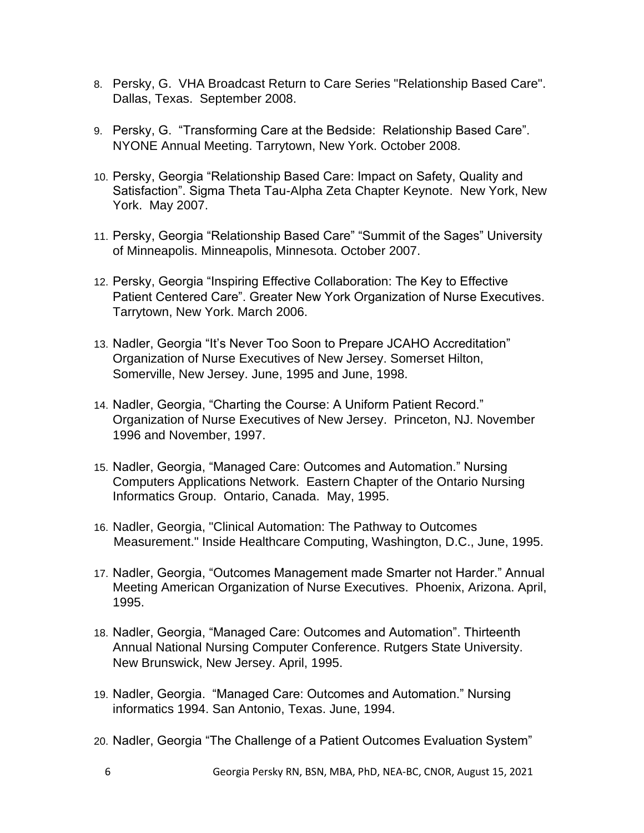- 8. Persky, G. VHA Broadcast Return to Care Series "Relationship Based Care". Dallas, Texas. September 2008.
- 9. Persky, G. "Transforming Care at the Bedside: Relationship Based Care". NYONE Annual Meeting. Tarrytown, New York. October 2008.
- 10. Persky, Georgia "Relationship Based Care: Impact on Safety, Quality and Satisfaction". Sigma Theta Tau-Alpha Zeta Chapter Keynote. New York, New York. May 2007.
- 11. Persky, Georgia "Relationship Based Care" "Summit of the Sages" University of Minneapolis. Minneapolis, Minnesota. October 2007.
- 12. Persky, Georgia "Inspiring Effective Collaboration: The Key to Effective Patient Centered Care". Greater New York Organization of Nurse Executives. Tarrytown, New York. March 2006.
- 13. Nadler, Georgia "It's Never Too Soon to Prepare JCAHO Accreditation" Organization of Nurse Executives of New Jersey. Somerset Hilton, Somerville, New Jersey. June, 1995 and June, 1998.
- 14. Nadler, Georgia, "Charting the Course: A Uniform Patient Record." Organization of Nurse Executives of New Jersey. Princeton, NJ. November 1996 and November, 1997.
- 15. Nadler, Georgia, "Managed Care: Outcomes and Automation." Nursing Computers Applications Network. Eastern Chapter of the Ontario Nursing Informatics Group. Ontario, Canada. May, 1995.
- 16. Nadler, Georgia, "Clinical Automation: The Pathway to Outcomes Measurement." Inside Healthcare Computing, Washington, D.C., June, 1995.
- 17. Nadler, Georgia, "Outcomes Management made Smarter not Harder." Annual Meeting American Organization of Nurse Executives. Phoenix, Arizona. April, 1995.
- 18. Nadler, Georgia, "Managed Care: Outcomes and Automation". Thirteenth Annual National Nursing Computer Conference. Rutgers State University. New Brunswick, New Jersey. April, 1995.
- 19. Nadler, Georgia. "Managed Care: Outcomes and Automation." Nursing informatics 1994. San Antonio, Texas. June, 1994.
- 20. Nadler, Georgia "The Challenge of a Patient Outcomes Evaluation System"